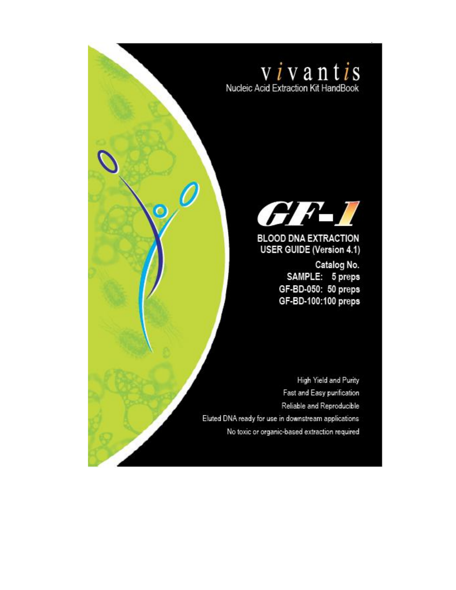



0

 $\ddot{\mathbf{O}}$ 

# **BLOOD DNA EXTRACTION USER GUIDE (Version 4.1)**

Catalog No. SAMPLE: 5 preps GF-BD-050: 50 preps GF-BD-100:100 preps

High Yield and Purity Fast and Easy purification Reliable and Reproducible Eluted DNA ready for use in downstream applications No toxic or organic-based extraction required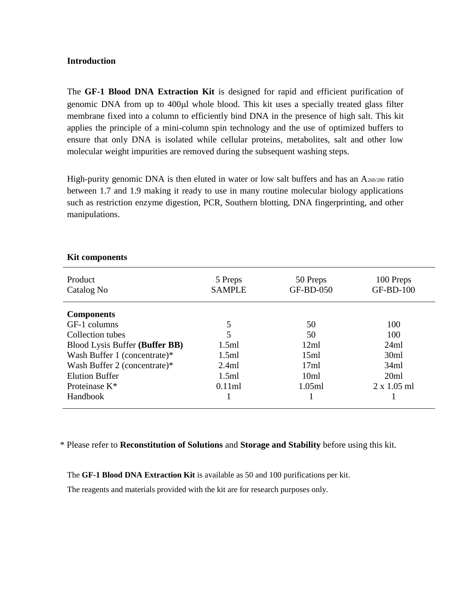#### **Introduction**

The **GF-1 Blood DNA Extraction Kit** is designed for rapid and efficient purification of genomic DNA from up to 400µl whole blood. This kit uses a specially treated glass filter membrane fixed into a column to efficiently bind DNA in the presence of high salt. This kit applies the principle of a mini-column spin technology and the use of optimized buffers to ensure that only DNA is isolated while cellular proteins, metabolites, salt and other low molecular weight impurities are removed during the subsequent washing steps.

High-purity genomic DNA is then eluted in water or low salt buffers and has an A260/280 ratio between 1.7 and 1.9 making it ready to use in many routine molecular biology applications such as restriction enzyme digestion, PCR, Southern blotting, DNA fingerprinting, and other manipulations.

| Product<br>Catalog No          | 5 Preps<br><b>SAMPLE</b> | 50 Preps<br>GF-BD-050 | 100 Preps<br><b>GF-BD-100</b> |
|--------------------------------|--------------------------|-----------------------|-------------------------------|
| <b>Components</b>              |                          |                       |                               |
| GF-1 columns                   | 5                        | 50                    | 100                           |
| Collection tubes               | 5                        | 50                    | 100                           |
| Blood Lysis Buffer (Buffer BB) | 1.5ml                    | 12ml                  | 24ml                          |
| Wash Buffer 1 (concentrate)*   | 1.5ml                    | 15ml                  | 30ml                          |
| Wash Buffer 2 (concentrate)*   | 2.4ml                    | 17ml                  | 34ml                          |
| <b>Elution Buffer</b>          | 1.5ml                    | 10ml                  | 20ml                          |
| Proteinase K*                  | 0.11ml                   | 1.05ml                | $2 \times 1.05$ ml            |
| Handbook                       |                          |                       |                               |

#### **Kit components**

\* Please refer to **Reconstitution of Solutions** and **Storage and Stability** before using this kit.

The **GF-1 Blood DNA Extraction Kit** is available as 50 and 100 purifications per kit.

The reagents and materials provided with the kit are for research purposes only.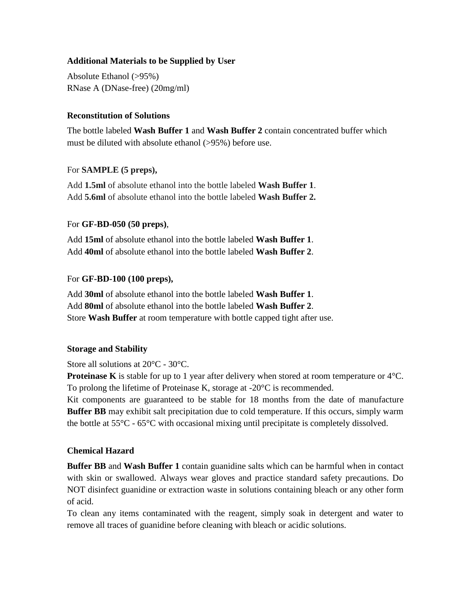### **Additional Materials to be Supplied by User**

Absolute Ethanol (>95%) RNase A (DNase-free) (20mg/ml)

### **Reconstitution of Solutions**

The bottle labeled **Wash Buffer 1** and **Wash Buffer 2** contain concentrated buffer which must be diluted with absolute ethanol (>95%) before use.

### For **SAMPLE (5 preps),**

Add **1.5ml** of absolute ethanol into the bottle labeled **Wash Buffer 1**. Add **5.6ml** of absolute ethanol into the bottle labeled **Wash Buffer 2.**

### For **GF-BD-050 (50 preps)**,

Add **15ml** of absolute ethanol into the bottle labeled **Wash Buffer 1**. Add **40ml** of absolute ethanol into the bottle labeled **Wash Buffer 2**.

### For **GF-BD-100 (100 preps),**

Add **30ml** of absolute ethanol into the bottle labeled **Wash Buffer 1**. Add **80ml** of absolute ethanol into the bottle labeled **Wash Buffer 2**. Store **Wash Buffer** at room temperature with bottle capped tight after use.

#### **Storage and Stability**

Store all solutions at 20°C - 30°C.

**Proteinase K** is stable for up to 1 year after delivery when stored at room temperature or 4°C. To prolong the lifetime of Proteinase K, storage at -20°C is recommended.

Kit components are guaranteed to be stable for 18 months from the date of manufacture **Buffer BB** may exhibit salt precipitation due to cold temperature. If this occurs, simply warm the bottle at 55°C - 65°C with occasional mixing until precipitate is completely dissolved.

### **Chemical Hazard**

**Buffer BB** and **Wash Buffer 1** contain guanidine salts which can be harmful when in contact with skin or swallowed. Always wear gloves and practice standard safety precautions. Do NOT disinfect guanidine or extraction waste in solutions containing bleach or any other form of acid.

To clean any items contaminated with the reagent, simply soak in detergent and water to remove all traces of guanidine before cleaning with bleach or acidic solutions.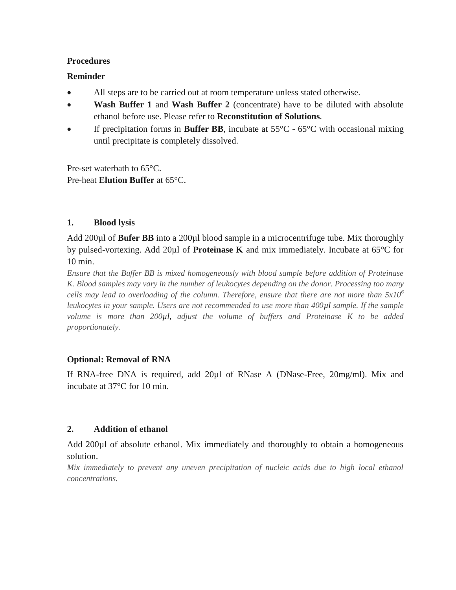#### **Procedures**

#### **Reminder**

- All steps are to be carried out at room temperature unless stated otherwise.
- **Wash Buffer 1** and **Wash Buffer 2** (concentrate) have to be diluted with absolute ethanol before use. Please refer to **Reconstitution of Solutions.**
- If precipitation forms in **Buffer BB**, incubate at 55°C 65°C with occasional mixing until precipitate is completely dissolved.

Pre-set waterbath to 65°C. Pre-heat **Elution Buffer** at 65°C.

### **1. Blood lysis**

Add 200µl of **Bufer BB** into a 200µl blood sample in a microcentrifuge tube. Mix thoroughly by pulsed-vortexing. Add 20µl of **Proteinase K** and mix immediately. Incubate at 65°C for 10 min.

*Ensure that the Buffer BB is mixed homogeneously with blood sample before addition of Proteinase K. Blood samples may vary in the number of leukocytes depending on the donor. Processing too many cells may lead to overloading of the column. Therefore, ensure that there are not more than 5x10<sup>6</sup> leukocytes in your sample. Users are not recommended to use more than 400µl sample. If the sample volume is more than 200µl*, *adjust the volume of buffers and Proteinase K to be added proportionately.*

### **Optional: Removal of RNA**

If RNA-free DNA is required, add 20µl of RNase A (DNase-Free, 20mg/ml). Mix and incubate at 37°C for 10 min.

### **2. Addition of ethanol**

Add 200µl of absolute ethanol. Mix immediately and thoroughly to obtain a homogeneous solution.

*Mix immediately to prevent any uneven precipitation of nucleic acids due to high local ethanol concentrations.*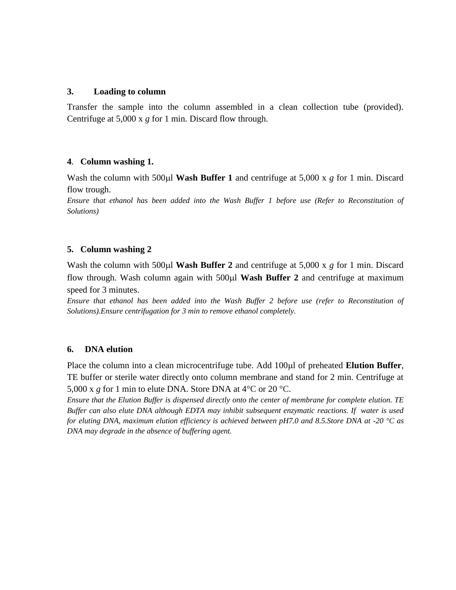#### **3. Loading to column**

Transfer the sample into the column assembled in a clean collection tube (provided). Centrifuge at 5,000 x *g* for 1 min. Discard flow through.

#### **4**. **Column washing 1.**

Wash the column with 500 $\mu$ l Wash Buffer 1 and centrifuge at 5,000 x  $g$  for 1 min. Discard flow trough.

*Ensure that ethanol has been added into the Wash Buffer 1 before use (Refer to Reconstitution of Solutions)*

#### **5. Column washing 2**

Wash the column with 500 $\mu$ **l Wash Buffer 2** and centrifuge at 5,000 x *g* for 1 min. Discard flow through. Wash column again with 500 $\mu$ **l Wash Buffer 2** and centrifuge at maximum speed for 3 minutes.

*Ensure that ethanol has been added into the Wash Buffer 2 before use (refer to Reconstitution of Solutions).Ensure centrifugation for 3 min to remove ethanol completely.*

#### **6. DNA elution**

Place the column into a clean microcentrifuge tube. Add 100 $\mu$ l of preheated **Elution Buffer**, TE buffer or sterile water directly onto column membrane and stand for 2 min. Centrifuge at 5,000 x *g* for 1 min to elute DNA. Store DNA at 4°C or 20 °C.

*Ensure that the Elution Buffer is dispensed directly onto the center of membrane for complete elution. TE Buffer can also elute DNA although EDTA may inhibit subsequent enzymatic reactions. If water is used for eluting DNA, maximum elution efficiency is achieved between pH7.0 and 8.5.Store DNA at -20 °C as DNA may degrade in the absence of buffering agent.*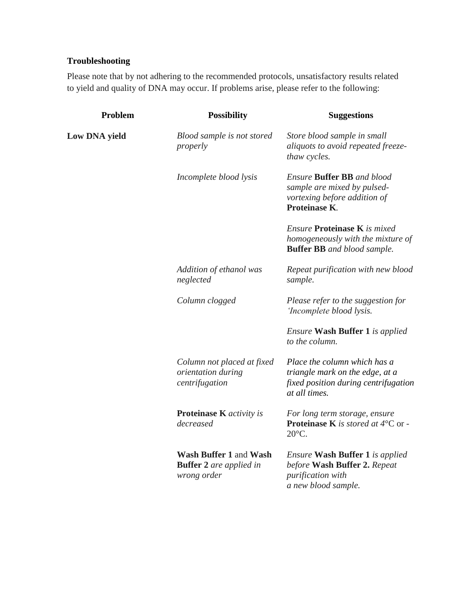## **Troubleshooting**

Please note that by not adhering to the recommended protocols, unsatisfactory results related to yield and quality of DNA may occur. If problems arise, please refer to the following:

| Problem              | <b>Possibility</b>                                                      | <b>Suggestions</b>                                                                                                        |
|----------------------|-------------------------------------------------------------------------|---------------------------------------------------------------------------------------------------------------------------|
| <b>Low DNA yield</b> | Blood sample is not stored<br>properly                                  | Store blood sample in small<br>aliquots to avoid repeated freeze-<br>thaw cycles.                                         |
|                      | Incomplete blood lysis                                                  | <b>Ensure Buffer BB</b> and blood<br>sample are mixed by pulsed-<br>vortexing before addition of<br>Proteinase K.         |
|                      |                                                                         | <b>Ensure Proteinase K</b> is mixed<br>homogeneously with the mixture of<br><b>Buffer BB</b> and blood sample.            |
|                      | Addition of ethanol was<br>neglected                                    | Repeat purification with new blood<br>sample.                                                                             |
|                      | Column clogged                                                          | Please refer to the suggestion for<br>'Incomplete blood lysis.                                                            |
|                      |                                                                         | <i>Ensure</i> Wash Buffer 1 is applied<br>to the column.                                                                  |
|                      | Column not placed at fixed<br>orientation during<br>centrifugation      | Place the column which has a<br>triangle mark on the edge, at a<br>fixed position during centrifugation<br>at all times.  |
|                      | Proteinase K activity is<br>decreased                                   | For long term storage, ensure<br><b>Proteinase K</b> is stored at $4^{\circ}$ C or -<br>$20^{\circ}$ C.                   |
|                      | Wash Buffer 1 and Wash<br><b>Buffer 2</b> are applied in<br>wrong order | <i>Ensure</i> Wash Buffer 1 is applied<br>before Wash Buffer 2. Repeat<br><i>purification with</i><br>a new blood sample. |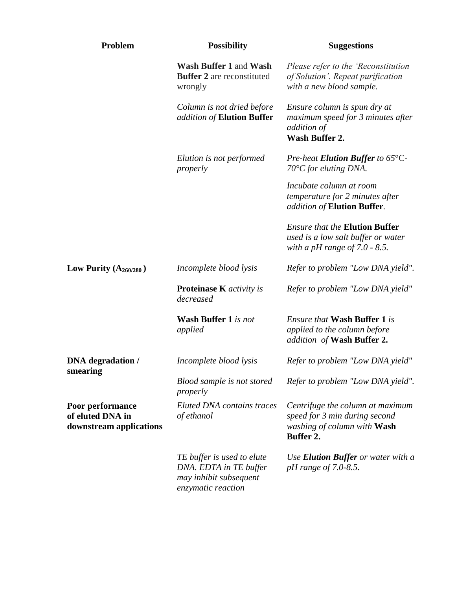| Problem                                                         | <b>Possibility</b>                                                                                   | <b>Suggestions</b>                                                                                                   |
|-----------------------------------------------------------------|------------------------------------------------------------------------------------------------------|----------------------------------------------------------------------------------------------------------------------|
|                                                                 | Wash Buffer 1 and Wash<br><b>Buffer 2</b> are reconstituted<br>wrongly                               | Please refer to the 'Reconstitution<br>of Solution'. Repeat purification<br>with a new blood sample.                 |
|                                                                 | Column is not dried before<br>addition of Elution Buffer                                             | Ensure column is spun dry at<br>maximum speed for 3 minutes after<br>addition of<br><b>Wash Buffer 2.</b>            |
|                                                                 | Elution is not performed<br>properly                                                                 | Pre-heat Elution Buffer to $65^{\circ}$ C-<br>$70^{\circ}$ C for eluting DNA.                                        |
|                                                                 |                                                                                                      | Incubate column at room<br>temperature for 2 minutes after<br>addition of Elution Buffer.                            |
|                                                                 |                                                                                                      | <b>Ensure that the Elution Buffer</b><br>used is a low salt buffer or water<br>with a pH range of $7.0 - 8.5$ .      |
| Low Purity $(A_{260/280})$                                      | Incomplete blood lysis                                                                               | Refer to problem "Low DNA yield".                                                                                    |
|                                                                 | <b>Proteinase K</b> <i>activity is</i><br>decreased                                                  | Refer to problem "Low DNA yield"                                                                                     |
|                                                                 | <b>Wash Buffer 1</b> is not<br>applied                                                               | <i>Ensure that</i> <b>Wash Buffer 1</b> is<br>applied to the column before<br>addition of Wash Buffer 2.             |
| <b>DNA</b> degradation /<br>smearing                            | Incomplete blood lysis                                                                               | Refer to problem "Low DNA yield"                                                                                     |
|                                                                 | Blood sample is not stored<br>properly                                                               | Refer to problem "Low DNA yield".                                                                                    |
| Poor performance<br>of eluted DNA in<br>downstream applications | <b>Eluted DNA</b> contains traces<br>of ethanol                                                      | Centrifuge the column at maximum<br>speed for 3 min during second<br>washing of column with Wash<br><b>Buffer 2.</b> |
|                                                                 | TE buffer is used to elute<br>DNA. EDTA in TE buffer<br>may inhibit subsequent<br>enzymatic reaction | Use <b>Elution Buffer</b> or water with a<br><i>pH</i> range of 7.0-8.5.                                             |